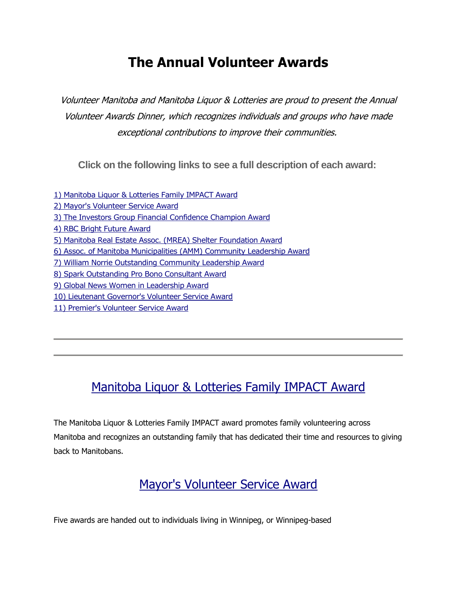## **The Annual Volunteer Awards**

Volunteer Manitoba and Manitoba Liquor & Lotteries are proud to present the Annual Volunteer Awards Dinner, which recognizes individuals and groups who have made exceptional contributions to improve their communities.

**Click on the following links to see a full description of each award:**

[1\) Manitoba Liquor & Lotteries Family IMPACT Award](http://mailchi.mp/02836896544d/nominate-your-favourite-manitoba-2814997?e=5a5b291646#MLL IMPACT) [2\) Mayor's Volunteer Service Award](http://mailchi.mp/02836896544d/nominate-your-favourite-manitoba-2814997?e=5a5b291646#Mayor) [3\) The Investors Group Financial Confidence Champion Award](http://mailchi.mp/02836896544d/nominate-your-favourite-manitoba-2814997?e=5a5b291646#Inverstors) [4\) RBC Bright Future Award](http://mailchi.mp/02836896544d/nominate-your-favourite-manitoba-2814997?e=5a5b291646#RBC) [5\) Manitoba Real Estate Assoc. \(MREA\) Shelter Foundation Award](http://mailchi.mp/02836896544d/nominate-your-favourite-manitoba-2814997?e=5a5b291646#MREA) 6) Assoc. [of Manitoba Municipalities \(AMM\) Community Leadership Award](http://mailchi.mp/02836896544d/nominate-your-favourite-manitoba-2814997?e=5a5b291646#AMM) [7\) William Norrie Outstanding Community Leadership Award](http://mailchi.mp/02836896544d/nominate-your-favourite-manitoba-2814997?e=5a5b291646#William) [8\) Spark Outstanding Pro Bono Consultant Award](http://mailchi.mp/02836896544d/nominate-your-favourite-manitoba-2814997?e=5a5b291646#Spark) [9\) Global News Women in Leadership Award](http://mailchi.mp/02836896544d/nominate-your-favourite-manitoba-2814997?e=5a5b291646#Global) [10\) Lieutenant Governor's Volunteer Service Award](http://mailchi.mp/02836896544d/nominate-your-favourite-manitoba-2814997?e=5a5b291646#Lieutenant) [11\) Premier's Volunteer Service Award](http://mailchi.mp/02836896544d/nominate-your-favourite-manitoba-2814997?e=5a5b291646#Premier)

### [Manitoba Liquor & Lotteries Family IMPACT Award](https://www.volunteermanitoba.ca/awards_details.php?id=4)

The Manitoba Liquor & Lotteries Family IMPACT award promotes family volunteering across Manitoba and recognizes an outstanding family that has dedicated their time and resources to giving back to Manitobans.

#### [Mayor's Volunteer Service Award](https://www.volunteermanitoba.ca/awards_details.php?id=3)

Five awards are handed out to individuals living in Winnipeg, or Winnipeg-based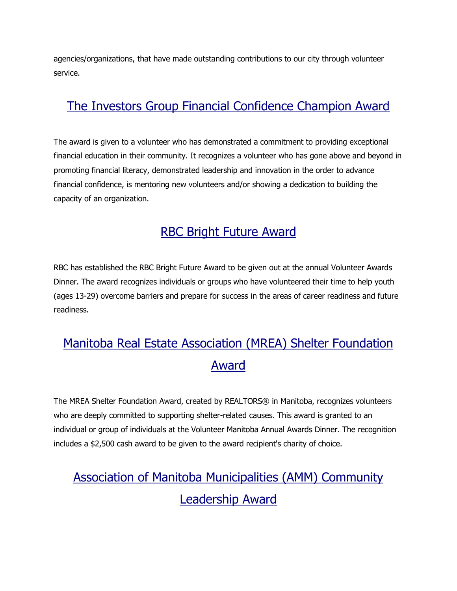agencies/organizations, that have made outstanding contributions to our city through volunteer service.

### [The Investors Group Financial Confidence Champion Award](https://www.volunteermanitoba.ca/awards_details.php?id=5)

The award is given to a volunteer who has demonstrated a commitment to providing exceptional financial education in their community. It recognizes a volunteer who has gone above and beyond in promoting financial literacy, demonstrated leadership and innovation in the order to advance financial confidence, is mentoring new volunteers and/or showing a dedication to building the capacity of an organization.

### [RBC Bright Future](https://www.volunteermanitoba.ca/awards_details.php?id=7) Award

RBC has established the RBC Bright Future Award to be given out at the annual Volunteer Awards Dinner. The award recognizes individuals or groups who have volunteered their time to help youth (ages 13-29) overcome barriers and prepare for success in the areas of career readiness and future readiness.

## [Manitoba Real Estate Association \(MREA\) Shelter Foundation](https://www.volunteermanitoba.ca/awards_details.php?id=8)  [Award](https://www.volunteermanitoba.ca/awards_details.php?id=8)

The MREA Shelter Foundation Award, created by REALTORS® in Manitoba, recognizes volunteers who are deeply committed to supporting shelter-related causes. This award is granted to an individual or group of individuals at the Volunteer Manitoba Annual Awards Dinner. The recognition includes a \$2,500 cash award to be given to the award recipient's charity of choice.

# [Association of Manitoba Municipalities \(AMM\) Community](https://www.volunteermanitoba.ca/awards_details.php?id=9)  [Leadership Award](https://www.volunteermanitoba.ca/awards_details.php?id=9)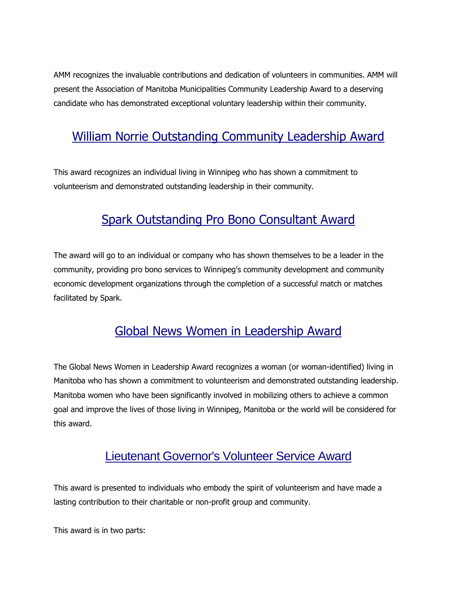AMM recognizes the invaluable contributions and dedication of volunteers in communities. AMM will present the Association of Manitoba Municipalities Community Leadership Award to a deserving candidate who has demonstrated exceptional voluntary leadership within their community.

## [William Norrie Outstanding Community Leadership Award](https://www.volunteermanitoba.ca/awards_details.php?id=10)

This award recognizes an individual living in Winnipeg who has shown a commitment to volunteerism and demonstrated outstanding leadership in their community.

## [Spark Outstanding Pro Bono Consultant Award](https://www.volunteermanitoba.ca/awards_details.php?id=11)

The award will go to an individual or company who has shown themselves to be a leader in the community, providing pro bono services to Winnipeg's community development and community economic development organizations through the completion of a successful match or matches facilitated by Spark.

## [Global News Women in Leadership Award](https://www.volunteermanitoba.ca/awards_details.php?id=12)

The Global News Women in Leadership Award recognizes a woman (or woman-identified) living in Manitoba who has shown a commitment to volunteerism and demonstrated outstanding leadership. Manitoba women who have been significantly involved in mobilizing others to achieve a common goal and improve the lives of those living in Winnipeg, Manitoba or the world will be considered for this award.

#### [Lieutenant Governor's Volunteer Service Award](https://www.volunteermanitoba.ca/awards_details.php?id=1)

This award is presented to individuals who embody the spirit of volunteerism and have made a lasting contribution to their charitable or non-profit group and community.

This award is in two parts: